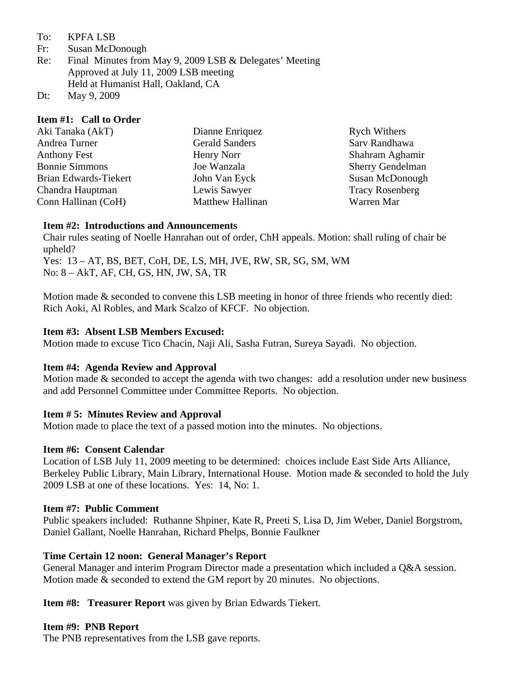#### To: KPFA LSB

- Fr: Susan McDonough
- Re: Final Minutes from May 9, 2009 LSB & Delegates' Meeting Approved at July 11, 2009 LSB meeting Held at Humanist Hall, Oakland, CA
- Dt: May 9, 2009

### **Item #1: Call to Order**

| Aki Tanaka (AkT)      | Dianne Enriquez         | <b>Rych Withers</b>     |
|-----------------------|-------------------------|-------------------------|
| Andrea Turner         | <b>Gerald Sanders</b>   | Sarv Randhawa           |
| Anthony Fest          | Henry Norr              | Shahram Aghamir         |
| <b>Bonnie Simmons</b> | Joe Wanzala             | <b>Sherry Gendelman</b> |
| Brian Edwards-Tiekert | John Van Eyck           | Susan McDonough         |
| Chandra Hauptman      | Lewis Sawyer            | <b>Tracy Rosenberg</b>  |
| Conn Hallinan (CoH)   | <b>Matthew Hallinan</b> | Warren Mar              |
|                       |                         |                         |

### **Item #2: Introductions and Announcements**

Chair rules seating of Noelle Hanrahan out of order, ChH appeals. Motion: shall ruling of chair be upheld?

Yes: 13 – AT, BS, BET, CoH, DE, LS, MH, JVE, RW, SR, SG, SM, WM No: 8 – AkT, AF, CH, GS, HN, JW, SA, TR

Motion made & seconded to convene this LSB meeting in honor of three friends who recently died: Rich Aoki, Al Robles, and Mark Scalzo of KFCF. No objection.

### **Item #3: Absent LSB Members Excused:**

Motion made to excuse Tico Chacin, Naji Ali, Sasha Futran, Sureya Sayadi. No objection.

# **Item #4: Agenda Review and Approval**

Motion made & seconded to accept the agenda with two changes: add a resolution under new business and add Personnel Committee under Committee Reports. No objection.

# **Item # 5: Minutes Review and Approval**

Motion made to place the text of a passed motion into the minutes. No objections.

### **Item #6: Consent Calendar**

Location of LSB July 11, 2009 meeting to be determined: choices include East Side Arts Alliance, Berkeley Public Library, Main Library, International House. Motion made & seconded to hold the July 2009 LSB at one of these locations. Yes: 14, No: 1.

### **Item #7: Public Comment**

Public speakers included: Ruthanne Shpiner, Kate R, Preeti S, Lisa D, Jim Weber, Daniel Borgstrom, Daniel Gallant, Noelle Hanrahan, Richard Phelps, Bonnie Faulkner

# **Time Certain 12 noon: General Manager's Report**

General Manager and interim Program Director made a presentation which included a Q&A session. Motion made & seconded to extend the GM report by 20 minutes. No objections.

**Item #8: Treasurer Report** was given by Brian Edwards Tiekert.

### **Item #9: PNB Report**

The PNB representatives from the LSB gave reports.